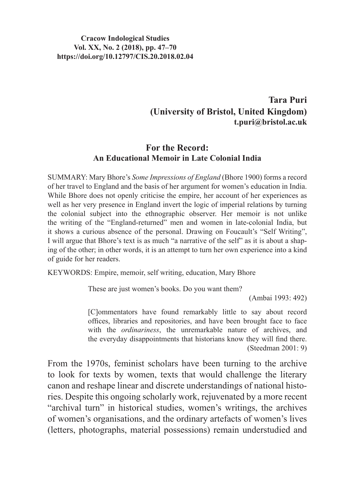#### **Cracow Indological Studies Vol. XX, No. 2 (2018), pp. 47–70 https://doi.org/10.12797/CIS.20.2018.02.04**

## **Tara Puri (University of Bristol, United Kingdom) t.puri@bristol.ac.uk**

#### **For the Record: An Educational Memoir in Late Colonial India**

SUMMARY: Mary Bhore's *Some Impressions of England* (Bhore 1900) forms a record of her travel to England and the basis of her argument for women's education in India. While Bhore does not openly criticise the empire, her account of her experiences as well as her very presence in England invert the logic of imperial relations by turning the colonial subject into the ethnographic observer. Her memoir is not unlike the writing of the "England-returned" men and women in late-colonial India, but it shows a curious absence of the personal. Drawing on Foucault's "Self Writing", I will argue that Bhore's text is as much "a narrative of the self" as it is about a shaping of the other; in other words, it is an attempt to turn her own experience into a kind of guide for her readers.

KEYWORDS: Empire, memoir, self writing, education, Mary Bhore

These are just women's books. Do you want them?

(Ambai 1993: 492)

[C]ommentators have found remarkably little to say about record offices, libraries and repositories, and have been brought face to face with the *ordinariness*, the unremarkable nature of archives, and the everyday disappointments that historians know they will find there. (Steedman 2001: 9)

From the 1970s, feminist scholars have been turning to the archive to look for texts by women, texts that would challenge the literary canon and reshape linear and discrete understandings of national histories. Despite this ongoing scholarly work, rejuvenated by a more recent "archival turn" in historical studies, women's writings, the archives of women's organisations, and the ordinary artefacts of women's lives (letters, photographs, material possessions) remain understudied and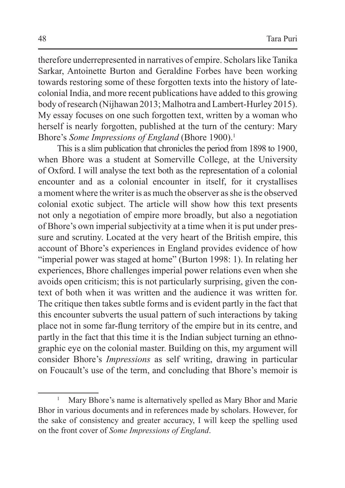therefore underrepresented in narratives of empire. Scholars like Tanika Sarkar, Antoinette Burton and Geraldine Forbes have been working towards restoring some of these forgotten texts into the history of latecolonial India, and more recent publications have added to this growing body of research (Nijhawan 2013; Malhotra and Lambert-Hurley 2015). My essay focuses on one such forgotten text, written by a woman who herself is nearly forgotten, published at the turn of the century: Mary Bhore's *Some Impressions of England* (Bhore 1900).<sup>1</sup>

This is a slim publication that chronicles the period from 1898 to 1900, when Bhore was a student at Somerville College, at the University of Oxford. I will analyse the text both as the representation of a colonial encounter and as a colonial encounter in itself, for it crystallises a moment where the writer is as much the observer as she is the observed colonial exotic subject. The article will show how this text presents not only a negotiation of empire more broadly, but also a negotiation of Bhore's own imperial subjectivity at a time when it is put under pressure and scrutiny. Located at the very heart of the British empire, this account of Bhore's experiences in England provides evidence of how "imperial power was staged at home" (Burton 1998: 1). In relating her experiences, Bhore challenges imperial power relations even when she avoids open criticism; this is not particularly surprising, given the context of both when it was written and the audience it was written for. The critique then takes subtle forms and is evident partly in the fact that this encounter subverts the usual pattern of such interactions by taking place not in some far-flung territory of the empire but in its centre, and partly in the fact that this time it is the Indian subject turning an ethnographic eye on the colonial master. Building on this, my argument will consider Bhore's *Impressions* as self writing, drawing in particular on Foucault's use of the term, and concluding that Bhore's memoir is

Mary Bhore's name is alternatively spelled as Mary Bhor and Marie Bhor in various documents and in references made by scholars. However, for the sake of consistency and greater accuracy, I will keep the spelling used on the front cover of *Some Impressions of England*.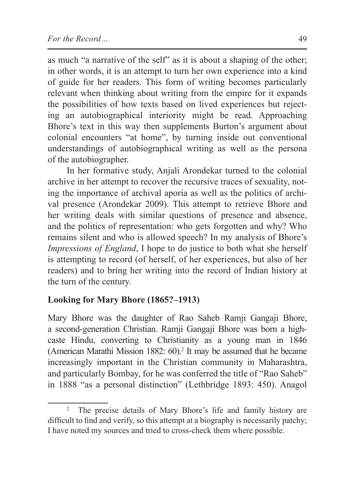as much "a narrative of the self" as it is about a shaping of the other; in other words, it is an attempt to turn her own experience into a kind of guide for her readers. This form of writing becomes particularly relevant when thinking about writing from the empire for it expands the possibilities of how texts based on lived experiences but rejecting an autobiographical interiority might be read. Approaching Bhore's text in this way then supplements Burton's argument about colonial encounters "at home", by turning inside out conventional understandings of autobiographical writing as well as the persona of the autobiographer.

In her formative study, Anjali Arondekar turned to the colonial archive in her attempt to recover the recursive traces of sexuality, noting the importance of archival aporia as well as the politics of archival presence (Arondekar 2009). This attempt to retrieve Bhore and her writing deals with similar questions of presence and absence, and the politics of representation: who gets forgotten and why? Who remains silent and who is allowed speech? In my analysis of Bhore's *Impressions of England*, I hope to do justice to both what she herself is attempting to record (of herself, of her experiences, but also of her readers) and to bring her writing into the record of Indian history at the turn of the century.

## **Looking for Mary Bhore (1865?–1913)**

Mary Bhore was the daughter of Rao Saheb Ramji Gangaji Bhore, a second-generation Christian. Ramji Gangaji Bhore was born a highcaste Hindu, converting to Christianity as a young man in 1846 (American Marathi Mission 1882: 60).<sup>2</sup> It may be assumed that he became increasingly important in the Christian community in Maharashtra, and particularly Bombay, for he was conferred the title of "Rao Saheb" in 1888 "as a personal distinction" (Lethbridge 1893: 450). Anagol

<sup>2</sup> The precise details of Mary Bhore's life and family history are difficult to find and verify, so this attempt at a biography is necessarily patchy; I have noted my sources and tried to cross-check them where possible.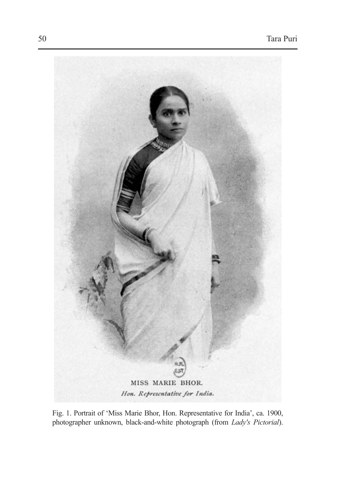

Fig. 1. Portrait of 'Miss Marie Bhor, Hon. Representative for India', ca. 1900, photographer unknown, black-and-white photograph (from *Lady's Pictorial*).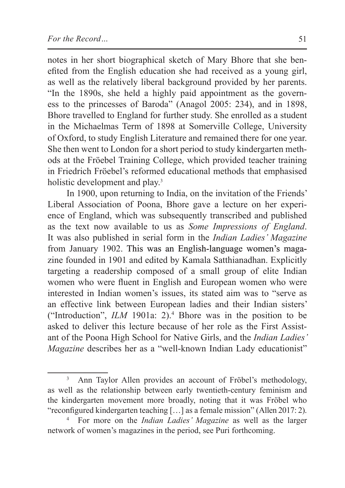notes in her short biographical sketch of Mary Bhore that she benefited from the English education she had received as a young girl, as well as the relatively liberal background provided by her parents. "In the 1890s, she held a highly paid appointment as the governess to the princesses of Baroda" (Anagol 2005: 234), and in 1898, Bhore travelled to England for further study. She enrolled as a student in the Michaelmas Term of 1898 at Somerville College, University of Oxford, to study English Literature and remained there for one year. She then went to London for a short period to study kindergarten methods at the Fröebel Training College, which provided teacher training in Friedrich Fröebel's reformed educational methods that emphasised holistic development and play.<sup>3</sup>

In 1900, upon returning to India, on the invitation of the Friends' Liberal Association of Poona, Bhore gave a lecture on her experience of England, which was subsequently transcribed and published as the text now available to us as *Some Impressions of England*. It was also published in serial form in the *Indian Ladies' Magazine*  from January 1902. This was an English-language women's magazine founded in 1901 and edited by Kamala Satthianadhan. Explicitly targeting a readership composed of a small group of elite Indian women who were fluent in English and European women who were interested in Indian women's issues, its stated aim was to "serve as an effective link between European ladies and their Indian sisters' ("Introduction",  $ILM$  1901a: 2).<sup>4</sup> Bhore was in the position to be asked to deliver this lecture because of her role as the First Assistant of the Poona High School for Native Girls, and the *Indian Ladies' Magazine* describes her as a "well-known Indian Lady educationist"

<sup>&</sup>lt;sup>3</sup> Ann Taylor Allen provides an account of Fröbel's methodology, as well as the relationship between early twentieth-century feminism and the kindergarten movement more broadly, noting that it was Fröbel who "reconfigured kindergarten teaching […] as a female mission" (Allen 2017: 2).

<sup>4</sup> For more on the *Indian Ladies' Magazine* as well as the larger network of women's magazines in the period, see Puri forthcoming.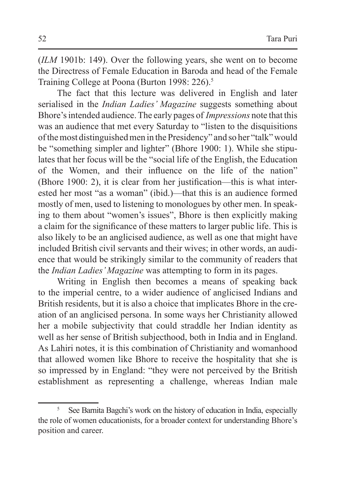(*ILM* 1901b: 149). Over the following years, she went on to become the Directress of Female Education in Baroda and head of the Female Training College at Poona (Burton 1998: 226).<sup>5</sup>

The fact that this lecture was delivered in English and later serialised in the *Indian Ladies' Magazine* suggests something about Bhore's intended audience. The early pages of *Impressions* note that this was an audience that met every Saturday to "listen to the disquisitions of the most distinguishedmen in the Presidency" and so her "talk"would be "something simpler and lighter" (Bhore 1900: 1). While she stipulates that her focus will be the "social life of the English, the Education of the Women, and their influence on the life of the nation" (Bhore 1900: 2), it is clear from her justification—this is what interested her most "as a woman" (ibid.)—that this is an audience formed mostly of men, used to listening to monologues by other men. In speaking to them about "women's issues", Bhore is then explicitly making a claim for the significance of these matters to larger public life. This is also likely to be an anglicised audience, as well as one that might have included British civil servants and their wives; in other words, an audience that would be strikingly similar to the community of readers that the *Indian Ladies' Magazine* was attempting to form in its pages.

Writing in English then becomes a means of speaking back to the imperial centre, to a wider audience of anglicised Indians and British residents, but it is also a choice that implicates Bhore in the creation of an anglicised persona. In some ways her Christianity allowed her a mobile subjectivity that could straddle her Indian identity as well as her sense of British subjecthood, both in India and in England. As Lahiri notes, it is this combination of Christianity and womanhood that allowed women like Bhore to receive the hospitality that she is so impressed by in England: "they were not perceived by the British establishment as representing a challenge, whereas Indian male

<sup>5</sup> See Barnita Bagchi's work on the history of education in India, especially the role of women educationists, for a broader context for understanding Bhore's position and career.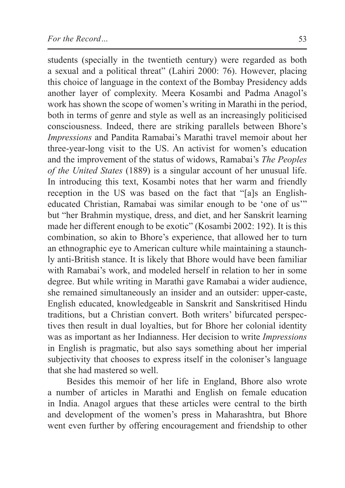students (specially in the twentieth century) were regarded as both a sexual and a political threat" (Lahiri 2000: 76). However, placing this choice of language in the context of the Bombay Presidency adds another layer of complexity. Meera Kosambi and Padma Anagol's work has shown the scope of women's writing in Marathi in the period, both in terms of genre and style as well as an increasingly politicised consciousness. Indeed, there are striking parallels between Bhore's *Impressions* and Pandita Ramabai's Marathi travel memoir about her three-year-long visit to the US. An activist for women's education and the improvement of the status of widows, Ramabai's *The Peoples of the United States* (1889) is a singular account of her unusual life. In introducing this text, Kosambi notes that her warm and friendly reception in the US was based on the fact that "[a]s an Englisheducated Christian, Ramabai was similar enough to be 'one of us'" but "her Brahmin mystique, dress, and diet, and her Sanskrit learning made her different enough to be exotic" (Kosambi 2002: 192). It is this combination, so akin to Bhore's experience, that allowed her to turn an ethnographic eye to American culture while maintaining a staunchly anti-British stance. It is likely that Bhore would have been familiar with Ramabai's work, and modeled herself in relation to her in some degree. But while writing in Marathi gave Ramabai a wider audience, she remained simultaneously an insider and an outsider: upper-caste, English educated, knowledgeable in Sanskrit and Sanskritised Hindu traditions, but a Christian convert. Both writers' bifurcated perspectives then result in dual loyalties, but for Bhore her colonial identity was as important as her Indianness. Her decision to write *Impressions*  in English is pragmatic, but also says something about her imperial subjectivity that chooses to express itself in the coloniser's language that she had mastered so well.

Besides this memoir of her life in England, Bhore also wrote a number of articles in Marathi and English on female education in India. Anagol argues that these articles were central to the birth and development of the women's press in Maharashtra, but Bhore went even further by offering encouragement and friendship to other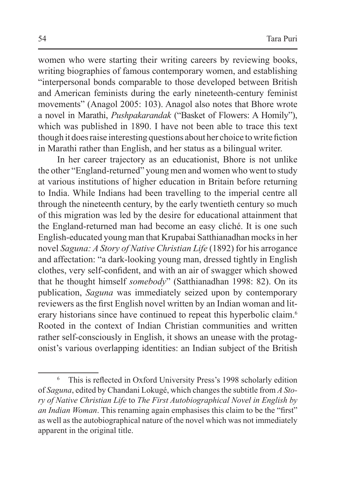women who were starting their writing careers by reviewing books, writing biographies of famous contemporary women, and establishing "interpersonal bonds comparable to those developed between British and American feminists during the early nineteenth-century feminist movements" (Anagol 2005: 103). Anagol also notes that Bhore wrote a novel in Marathi, *Pushpakarandak* ("Basket of Flowers: A Homily"), which was published in 1890. I have not been able to trace this text though it doesraise interesting questions about her choice to write fiction in Marathi rather than English, and her status as a bilingual writer.

In her career trajectory as an educationist, Bhore is not unlike the other "England-returned" young men and women who went to study at various institutions of higher education in Britain before returning to India. While Indians had been travelling to the imperial centre all through the nineteenth century, by the early twentieth century so much of this migration was led by the desire for educational attainment that the England-returned man had become an easy cliché. It is one such English-educated young man that Krupabai Satthianadhan mocksin her novel *Saguna: A Story of Native Christian Life* (1892) for his arrogance and affectation: "a dark-looking young man, dressed tightly in English clothes, very self-confident, and with an air of swagger which showed that he thought himself *somebody*" (Satthianadhan 1998: 82). On its publication, *Saguna* was immediately seized upon by contemporary reviewers as the first English novel written by an Indian woman and literary historians since have continued to repeat this hyperbolic claim.<sup>6</sup> Rooted in the context of Indian Christian communities and written rather self-consciously in English, it shows an unease with the protagonist's various overlapping identities: an Indian subject of the British

<sup>6</sup> This is reflected in Oxford University Press's 1998 scholarly edition of *Saguna*, edited by Chandani Lokugé, which changesthe subtitle from *A Story of Native Christian Life* to *The First Autobiographical Novel in English by an Indian Woman*. This renaming again emphasises this claim to be the "first" as well as the autobiographical nature of the novel which was not immediately apparent in the original title.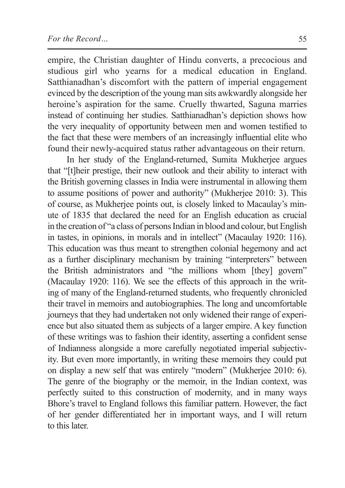empire, the Christian daughter of Hindu converts, a precocious and studious girl who yearns for a medical education in England. Satthianadhan's discomfort with the pattern of imperial engagement evinced by the description of the young man sits awkwardly alongside her heroine's aspiration for the same. Cruelly thwarted, Saguna marries instead of continuing her studies. Satthianadhan's depiction shows how the very inequality of opportunity between men and women testified to the fact that these were members of an increasingly influential elite who found their newly-acquired status rather advantageous on their return.

In her study of the England-returned, Sumita Mukherjee argues that "[t]heir prestige, their new outlook and their ability to interact with the British governing classes in India were instrumental in allowing them to assume positions of power and authority" (Mukherjee 2010: 3). This of course, as Mukherjee points out, is closely linked to Macaulay's minute of 1835 that declared the need for an English education as crucial in the creation of "a class of persons Indian in blood and colour, but English in tastes, in opinions, in morals and in intellect" (Macaulay 1920: 116). This education was thus meant to strengthen colonial hegemony and act as a further disciplinary mechanism by training "interpreters" between the British administrators and "the millions whom [they] govern" (Macaulay 1920: 116). We see the effects of this approach in the writing of many of the England-returned students, who frequently chronicled their travel in memoirs and autobiographies. The long and uncomfortable journeys that they had undertaken not only widened their range of experience but also situated them as subjects of a larger empire. A key function of these writings was to fashion their identity, asserting a confident sense of Indianness alongside a more carefully negotiated imperial subjectivity. But even more importantly, in writing these memoirs they could put on display a new self that was entirely "modern" (Mukherjee 2010: 6). The genre of the biography or the memoir, in the Indian context, was perfectly suited to this construction of modernity, and in many ways Bhore's travel to England follows this familiar pattern. However, the fact of her gender differentiated her in important ways, and I will return to this later.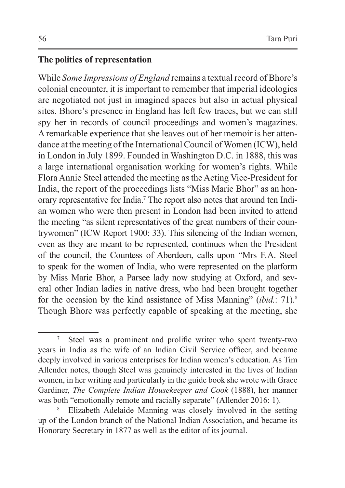#### **The politics of representation**

While *Some Impressions of England* remains a textual record of Bhore's colonial encounter, it is important to remember that imperial ideologies are negotiated not just in imagined spaces but also in actual physical sites. Bhore's presence in England has left few traces, but we can still spy her in records of council proceedings and women's magazines. A remarkable experience that she leaves out of her memoir is her attendance at the meeting of the International Council of Women (ICW), held in London in July 1899. Founded in Washington D.C. in 1888, this was a large international organisation working for women's rights. While Flora Annie Steel attended the meeting as the Acting Vice-President for India, the report of the proceedings lists "Miss Marie Bhor" as an honorary representative for India.7 The report also notes that around ten Indian women who were then present in London had been invited to attend the meeting "as silent representatives of the great numbers of their countrywomen" (ICW Report 1900: 33). This silencing of the Indian women, even as they are meant to be represented, continues when the President of the council, the Countess of Aberdeen, calls upon "Mrs F.A. Steel to speak for the women of India, who were represented on the platform by Miss Marie Bhor, a Parsee lady now studying at Oxford, and several other Indian ladies in native dress, who had been brought together for the occasion by the kind assistance of Miss Manning" (*ibid.*: 71).<sup>8</sup> Though Bhore was perfectly capable of speaking at the meeting, she

Steel was a prominent and prolific writer who spent twenty-two years in India as the wife of an Indian Civil Service officer, and became deeply involved in various enterprises for Indian women's education. As Tim Allender notes, though Steel was genuinely interested in the lives of Indian women, in her writing and particularly in the guide book she wrote with Grace Gardiner, *The Complete Indian Housekeeper and Cook* (1888), her manner was both "emotionally remote and racially separate" (Allender 2016: 1).

<sup>8</sup> Elizabeth Adelaide Manning was closely involved in the setting up of the London branch of the National Indian Association, and became its Honorary Secretary in 1877 as well as the editor of its journal.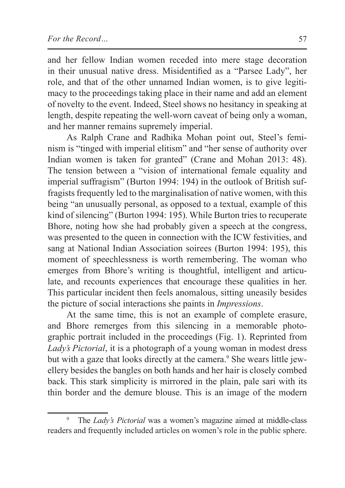and her fellow Indian women receded into mere stage decoration in their unusual native dress. Misidentified as a "Parsee Lady", her role, and that of the other unnamed Indian women, is to give legitimacy to the proceedings taking place in their name and add an element of novelty to the event. Indeed, Steel shows no hesitancy in speaking at length, despite repeating the well-worn caveat of being only a woman, and her manner remains supremely imperial.

As Ralph Crane and Radhika Mohan point out, Steel's feminism is "tinged with imperial elitism" and "her sense of authority over Indian women is taken for granted" (Crane and Mohan 2013: 48). The tension between a "vision of international female equality and imperial suffragism" (Burton 1994: 194) in the outlook of British suffragists frequently led to the marginalisation of native women, with this being "an unusually personal, as opposed to a textual, example of this kind of silencing" (Burton 1994: 195). While Burton tries to recuperate Bhore, noting how she had probably given a speech at the congress, was presented to the queen in connection with the ICW festivities, and sang at National Indian Association soirees (Burton 1994: 195), this moment of speechlessness is worth remembering. The woman who emerges from Bhore's writing is thoughtful, intelligent and articulate, and recounts experiences that encourage these qualities in her. This particular incident then feels anomalous, sitting uneasily besides the picture of social interactions she paints in *Impressions*.

At the same time, this is not an example of complete erasure, and Bhore remerges from this silencing in a memorable photographic portrait included in the proceedings (Fig. 1). Reprinted from *Lady's Pictorial*, it is a photograph of a young woman in modest dress but with a gaze that looks directly at the camera.<sup>9</sup> She wears little jewellery besides the bangles on both hands and her hair is closely combed back. This stark simplicity is mirrored in the plain, pale sari with its thin border and the demure blouse. This is an image of the modern

<sup>9</sup> The *Lady's Pictorial* was a women's magazine aimed at middle-class readers and frequently included articles on women's role in the public sphere.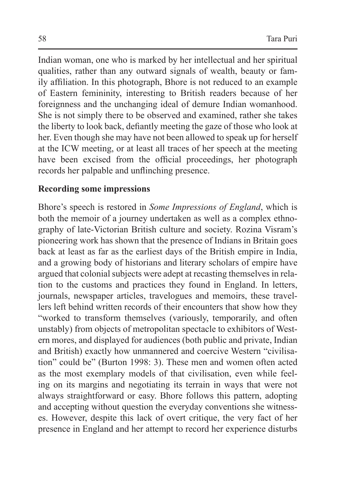Indian woman, one who is marked by her intellectual and her spiritual qualities, rather than any outward signals of wealth, beauty or family affiliation. In this photograph, Bhore is not reduced to an example of Eastern femininity, interesting to British readers because of her foreignness and the unchanging ideal of demure Indian womanhood. She is not simply there to be observed and examined, rather she takes the liberty to look back, defiantly meeting the gaze of those who look at her. Even though she may have not been allowed to speak up for herself at the ICW meeting, or at least all traces of her speech at the meeting have been excised from the official proceedings, her photograph records her palpable and unflinching presence.

### **Recording some impressions**

Bhore's speech is restored in *Some Impressions of England*, which is both the memoir of a journey undertaken as well as a complex ethnography of late-Victorian British culture and society. Rozina Visram's pioneering work has shown that the presence of Indians in Britain goes back at least as far as the earliest days of the British empire in India, and a growing body of historians and literary scholars of empire have argued that colonial subjects were adept at recasting themselves in relation to the customs and practices they found in England. In letters, journals, newspaper articles, travelogues and memoirs, these travellers left behind written records of their encounters that show how they "worked to transform themselves (variously, temporarily, and often unstably) from objects of metropolitan spectacle to exhibitors of Western mores, and displayed for audiences (both public and private, Indian and British) exactly how unmannered and coercive Western "civilisation" could be" (Burton 1998: 3). These men and women often acted as the most exemplary models of that civilisation, even while feeling on its margins and negotiating its terrain in ways that were not always straightforward or easy. Bhore follows this pattern, adopting and accepting without question the everyday conventions she witnesses. However, despite this lack of overt critique, the very fact of her presence in England and her attempt to record her experience disturbs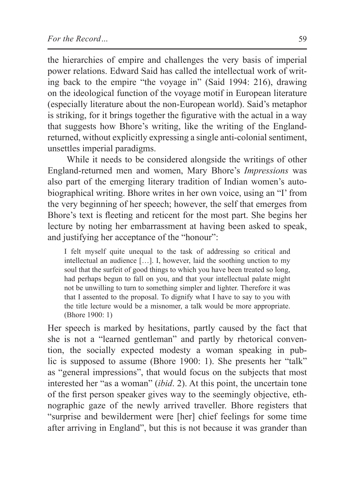the hierarchies of empire and challenges the very basis of imperial power relations. Edward Said has called the intellectual work of writing back to the empire "the voyage in" (Said 1994: 216), drawing on the ideological function of the voyage motif in European literature (especially literature about the non-European world). Said's metaphor is striking, for it brings together the figurative with the actual in a way that suggests how Bhore's writing, like the writing of the Englandreturned, without explicitly expressing a single anti-colonial sentiment, unsettles imperial paradigms.

While it needs to be considered alongside the writings of other England-returned men and women, Mary Bhore's *Impressions* was also part of the emerging literary tradition of Indian women's autobiographical writing. Bhore writes in her own voice, using an "I' from the very beginning of her speech; however, the self that emerges from Bhore's text is fleeting and reticent for the most part. She begins her lecture by noting her embarrassment at having been asked to speak, and justifying her acceptance of the "honour":

I felt myself quite unequal to the task of addressing so critical and intellectual an audience […]. I, however, laid the soothing unction to my soul that the surfeit of good things to which you have been treated so long, had perhaps begun to fall on you, and that your intellectual palate might not be unwilling to turn to something simpler and lighter. Therefore it was that I assented to the proposal. To dignify what I have to say to you with the title lecture would be a misnomer, a talk would be more appropriate. (Bhore 1900: 1)

Her speech is marked by hesitations, partly caused by the fact that she is not a "learned gentleman" and partly by rhetorical convention, the socially expected modesty a woman speaking in public is supposed to assume (Bhore 1900: 1). She presents her "talk" as "general impressions", that would focus on the subjects that most interested her "as a woman" (*ibid*. 2). At this point, the uncertain tone of the first person speaker gives way to the seemingly objective, ethnographic gaze of the newly arrived traveller. Bhore registers that "surprise and bewilderment were [her] chief feelings for some time after arriving in England", but this is not because it was grander than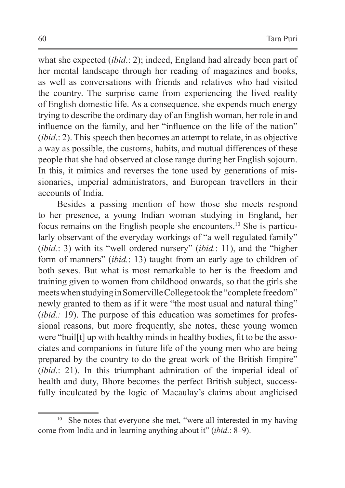what she expected (*ibid*.: 2); indeed, England had already been part of her mental landscape through her reading of magazines and books, as well as conversations with friends and relatives who had visited the country. The surprise came from experiencing the lived reality of English domestic life. As a consequence, she expends much energy trying to describe the ordinary day of an English woman, her role in and influence on the family, and her "influence on the life of the nation" (*ibid*.: 2). This speech then becomes an attempt to relate, in as objective a way as possible, the customs, habits, and mutual differences of these people that she had observed at close range during her English sojourn. In this, it mimics and reverses the tone used by generations of missionaries, imperial administrators, and European travellers in their accounts of India.

Besides a passing mention of how those she meets respond to her presence, a young Indian woman studying in England, her focus remains on the English people she encounters.10 She is particularly observant of the everyday workings of "a well regulated family" (*ibid.*: 3) with its "well ordered nursery" (*ibid.*: 11), and the "higher form of manners" (*ibid.*: 13) taught from an early age to children of both sexes. But what is most remarkable to her is the freedom and training given to women from childhood onwards, so that the girls she meets when studying in Somerville College took the "complete freedom" newly granted to them as if it were "the most usual and natural thing" (*ibid.*: 19). The purpose of this education was sometimes for professional reasons, but more frequently, she notes, these young women were "buil[t] up with healthy minds in healthy bodies, fit to be the associates and companions in future life of the young men who are being prepared by the country to do the great work of the British Empire" (*ibid*.: 21). In this triumphant admiration of the imperial ideal of health and duty, Bhore becomes the perfect British subject, successfully inculcated by the logic of Macaulay's claims about anglicised

<sup>&</sup>lt;sup>10</sup> She notes that everyone she met, "were all interested in my having come from India and in learning anything about it" (*ibid*.: 8–9).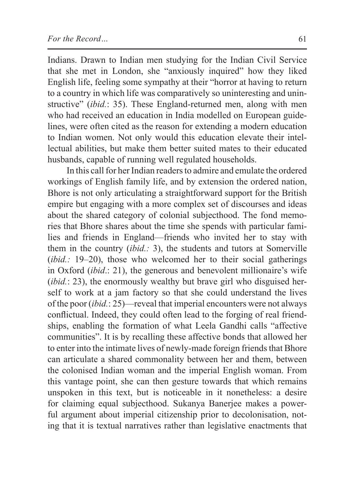Indians. Drawn to Indian men studying for the Indian Civil Service that she met in London, she "anxiously inquired" how they liked English life, feeling some sympathy at their "horror at having to return to a country in which life was comparatively so uninteresting and uninstructive" (*ibid.*: 35). These England-returned men, along with men who had received an education in India modelled on European guidelines, were often cited as the reason for extending a modern education to Indian women. Not only would this education elevate their intellectual abilities, but make them better suited mates to their educated husbands, capable of running well regulated households.

In this call for her Indian readers to admire and emulate the ordered workings of English family life, and by extension the ordered nation, Bhore is not only articulating a straightforward support for the British empire but engaging with a more complex set of discourses and ideas about the shared category of colonial subjecthood. The fond memories that Bhore shares about the time she spends with particular families and friends in England—friends who invited her to stay with them in the country (*ibid.:* 3), the students and tutors at Somerville (*ibid.*: 19–20), those who welcomed her to their social gatherings in Oxford (*ibid*.: 21), the generous and benevolent millionaire's wife (*ibid.*: 23), the enormously wealthy but brave girl who disguised herself to work at a jam factory so that she could understand the lives of the poor (*ibid.*: 25)—reveal that imperial encounters were not always conflictual. Indeed, they could often lead to the forging of real friendships, enabling the formation of what Leela Gandhi calls "affective communities". It is by recalling these affective bonds that allowed her to enter into the intimate lives of newly-made foreign friends that Bhore can articulate a shared commonality between her and them, between the colonised Indian woman and the imperial English woman. From this vantage point, she can then gesture towards that which remains unspoken in this text, but is noticeable in it nonetheless: a desire for claiming equal subjecthood. Sukanya Banerjee makes a powerful argument about imperial citizenship prior to decolonisation, noting that it is textual narratives rather than legislative enactments that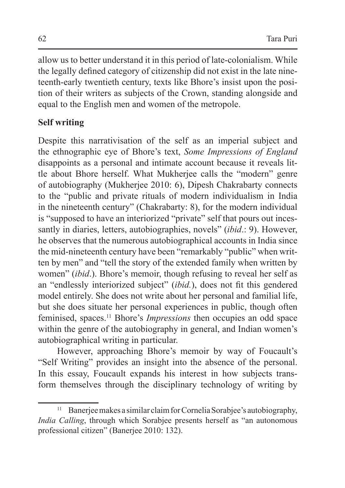allow us to better understand it in this period of late-colonialism. While the legally defined category of citizenship did not exist in the late nineteenth-early twentieth century, texts like Bhore's insist upon the position of their writers as subjects of the Crown, standing alongside and equal to the English men and women of the metropole.

# **Self writing**

Despite this narrativisation of the self as an imperial subject and the ethnographic eye of Bhore's text, *Some Impressions of England* disappoints as a personal and intimate account because it reveals little about Bhore herself. What Mukherjee calls the "modern" genre of autobiography (Mukherjee 2010: 6), Dipesh Chakrabarty connects to the "public and private rituals of modern individualism in India in the nineteenth century" (Chakrabarty: 8), for the modern individual is "supposed to have an interiorized "private" self that pours out incessantly in diaries, letters, autobiographies, novels" (*ibid*.: 9). However, he observes that the numerous autobiographical accounts in India since the mid-nineteenth century have been "remarkably "public" when written by men" and "tell the story of the extended family when written by women" (*ibid*.). Bhore's memoir, though refusing to reveal her self as an "endlessly interiorized subject" (*ibid.*), does not fit this gendered model entirely. She does not write about her personal and familial life, but she does situate her personal experiences in public, though often feminised, spaces.11 Bhore's *Impressions* then occupies an odd space within the genre of the autobiography in general, and Indian women's autobiographical writing in particular.

However, approaching Bhore's memoir by way of Foucault's "Self Writing" provides an insight into the absence of the personal. In this essay, Foucault expands his interest in how subjects transform themselves through the disciplinary technology of writing by

<sup>&</sup>lt;sup>11</sup> Banerjee makes a similar claim for Cornelia Sorabjee's autobiography, *India Calling*, through which Sorabjee presents herself as "an autonomous professional citizen" (Banerjee 2010: 132).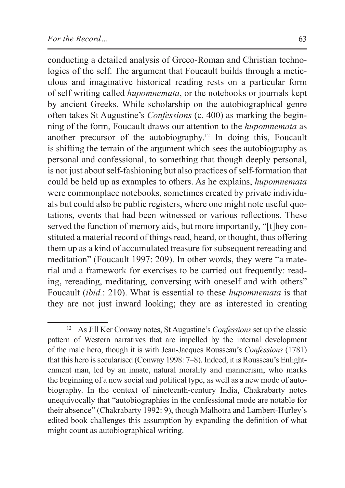conducting a detailed analysis of Greco-Roman and Christian technologies of the self. The argument that Foucault builds through a meticulous and imaginative historical reading rests on a particular form of self writing called *hupomnemata*, or the notebooks or journals kept by ancient Greeks. While scholarship on the autobiographical genre often takes St Augustine's *Confessions* (c. 400) as marking the beginning of the form, Foucault draws our attention to the *hupomnemata* as another precursor of the autobiography.12 In doing this, Foucault is shifting the terrain of the argument which sees the autobiography as personal and confessional, to something that though deeply personal, is not just about self-fashioning but also practices of self-formation that could be held up as examples to others. As he explains, *hupomnemata* were commonplace notebooks, sometimes created by private individuals but could also be public registers, where one might note useful quotations, events that had been witnessed or various reflections. These served the function of memory aids, but more importantly, "[t]hey constituted a material record of things read, heard, or thought, thus offering them up as a kind of accumulated treasure for subsequent rereading and meditation" (Foucault 1997: 209). In other words, they were "a material and a framework for exercises to be carried out frequently: reading, rereading, meditating, conversing with oneself and with others" Foucault (*ibid.*: 210). What is essential to these *hupomnemata* is that they are not just inward looking; they are as interested in creating

<sup>12</sup> As Jill Ker Conway notes, St Augustine's *Confessions* set up the classic pattern of Western narratives that are impelled by the internal development of the male hero, though it is with Jean-Jacques Rousseau's *Confessions* (1781) that this hero is secularised (Conway 1998: 7–8). Indeed, it is Rousseau's Enlightenment man, led by an innate, natural morality and mannerism, who marks the beginning of a new social and political type, as well as a new mode of autobiography. In the context of nineteenth-century India, Chakrabarty notes unequivocally that "autobiographies in the confessional mode are notable for their absence" (Chakrabarty 1992: 9), though Malhotra and Lambert-Hurley's edited book challenges this assumption by expanding the definition of what might count as autobiographical writing.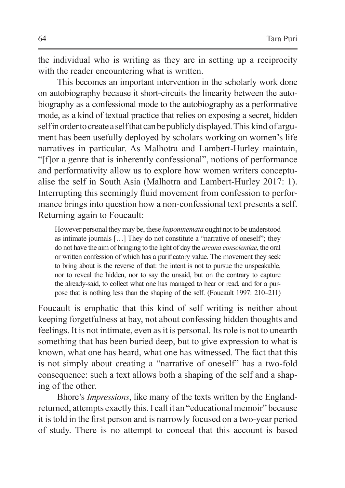the individual who is writing as they are in setting up a reciprocity with the reader encountering what is written.

This becomes an important intervention in the scholarly work done on autobiography because it short-circuits the linearity between the autobiography as a confessional mode to the autobiography as a performative mode, as a kind of textual practice that relies on exposing a secret, hidden self inorder tocreate a self that can be publicly displayed. This kind of argument has been usefully deployed by scholars working on women's life narratives in particular. As Malhotra and Lambert-Hurley maintain, "[f]or a genre that is inherently confessional", notions of performance and performativity allow us to explore how women writers conceptualise the self in South Asia (Malhotra and Lambert-Hurley 2017: 1). Interrupting this seemingly fluid movement from confession to performance brings into question how a non-confessional text presents a self. Returning again to Foucault:

However personal they may be, these *hupomnemata* ought not to be understood as intimate journals […] They do not constitute a "narrative of oneself"; they do not have the aim of bringing to the light of day the *arcana conscientiae*, the oral or written confession of which has a purificatory value. The movement they seek to bring about is the reverse of that: the intent is not to pursue the unspeakable, nor to reveal the hidden, nor to say the unsaid, but on the contrary to capture the already-said, to collect what one has managed to hear or read, and for a purpose that is nothing less than the shaping of the self. (Foucault 1997: 210–211)

Foucault is emphatic that this kind of self writing is neither about keeping forgetfulness at bay, not about confessing hidden thoughts and feelings. It is not intimate, even as it is personal. Its role is not to unearth something that has been buried deep, but to give expression to what is known, what one has heard, what one has witnessed. The fact that this is not simply about creating a "narrative of oneself" has a two-fold consequence: such a text allows both a shaping of the self and a shaping of the other.

Bhore's *Impressions*, like many of the texts written by the Englandreturned, attempts exactly this. I call it an "educational memoir" because it istold in the first person and is narrowly focused on a two-year period of study. There is no attempt to conceal that this account is based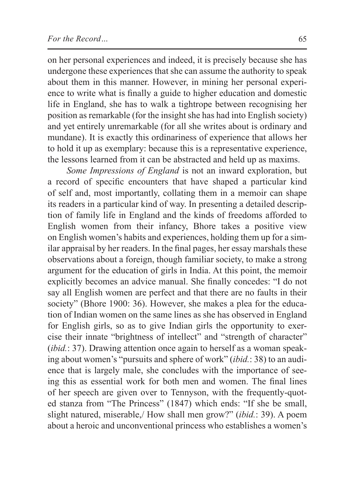on her personal experiences and indeed, it is precisely because she has undergone these experiences that she can assume the authority to speak about them in this manner. However, in mining her personal experience to write what is finally a guide to higher education and domestic life in England, she has to walk a tightrope between recognising her position as remarkable (for the insight she has had into English society) and yet entirely unremarkable (for all she writes about is ordinary and mundane). It is exactly this ordinariness of experience that allows her to hold it up as exemplary: because this is a representative experience, the lessons learned from it can be abstracted and held up as maxims.

*Some Impressions of England* is not an inward exploration, but a record of specific encounters that have shaped a particular kind of self and, most importantly, collating them in a memoir can shape its readers in a particular kind of way. In presenting a detailed description of family life in England and the kinds of freedoms afforded to English women from their infancy, Bhore takes a positive view on English women's habits and experiences, holding them up for a similar appraisal by her readers. In the final pages, her essay marshals these observations about a foreign, though familiar society, to make a strong argument for the education of girls in India. At this point, the memoir explicitly becomes an advice manual. She finally concedes: "I do not say all English women are perfect and that there are no faults in their society" (Bhore 1900: 36). However, she makes a plea for the education of Indian women on the same lines as she has observed in England for English girls, so as to give Indian girls the opportunity to exercise their innate "brightness of intellect" and "strength of character" (*ibid.*: 37). Drawing attention once again to herself as a woman speaking about women's "pursuits and sphere of work" (*ibid.*: 38) to an audience that is largely male, she concludes with the importance of seeing this as essential work for both men and women. The final lines of her speech are given over to Tennyson, with the frequently-quoted stanza from "The Princess" (1847) which ends: "If she be small, slight natured, miserable,/ How shall men grow?" (*ibid.*: 39). A poem about a heroic and unconventional princess who establishes a women's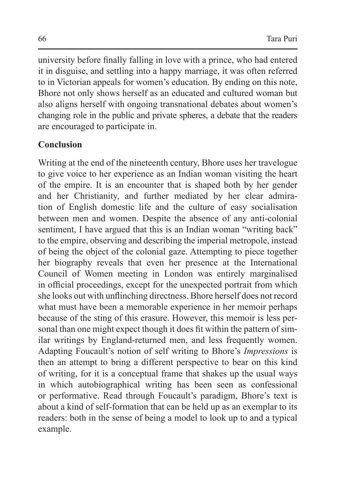university before finally falling in love with a prince, who had entered it in disguise, and settling into a happy marriage, it was often referred to in Victorian appeals for women's education. By ending on this note, Bhore not only shows herself as an educated and cultured woman but also aligns herself with ongoing transnational debates about women's changing role in the public and private spheres, a debate that the readers are encouraged to participate in.

### **Conclusion**

Writing at the end of the nineteenth century, Bhore uses her travelogue to give voice to her experience as an Indian woman visiting the heart of the empire. It is an encounter that is shaped both by her gender and her Christianity, and further mediated by her clear admiration of English domestic life and the culture of easy socialisation between men and women. Despite the absence of any anti-colonial sentiment, I have argued that this is an Indian woman "writing back" to the empire, observing and describing the imperial metropole, instead of being the object of the colonial gaze. Attempting to piece together her biography reveals that even her presence at the International Council of Women meeting in London was entirely marginalised in official proceedings, except for the unexpected portrait from which she looks out with unflinching directness. Bhore herself does not record what must have been a memorable experience in her memoir perhaps because of the sting of this erasure. However, this memoir is less personal than one might expect though it does fit within the pattern of similar writings by England-returned men, and less frequently women. Adapting Foucault's notion of self writing to Bhore's *Impressions* is then an attempt to bring a different perspective to bear on this kind of writing, for it is a conceptual frame that shakes up the usual ways in which autobiographical writing has been seen as confessional or performative. Read through Foucault's paradigm, Bhore's text is about a kind of self-formation that can be held up as an exemplar to its readers: both in the sense of being a model to look up to and a typical example.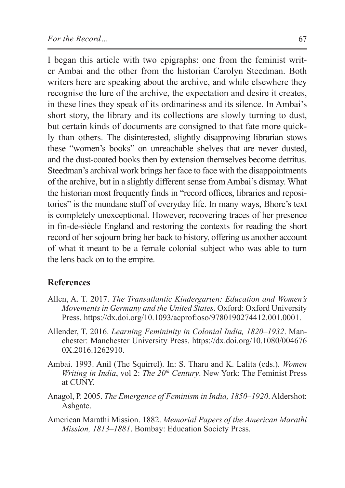I began this article with two epigraphs: one from the feminist writer Ambai and the other from the historian Carolyn Steedman. Both writers here are speaking about the archive, and while elsewhere they recognise the lure of the archive, the expectation and desire it creates, in these lines they speak of its ordinariness and its silence. In Ambai's short story, the library and its collections are slowly turning to dust, but certain kinds of documents are consigned to that fate more quickly than others. The disinterested, slightly disapproving librarian stows these "women's books" on unreachable shelves that are never dusted, and the dust-coated books then by extension themselves become detritus. Steedman's archival work brings her face to face with the disappointments of the archive, but in a slightly different sense from Ambai's dismay. What the historian most frequently finds in "record offices, libraries and repositories" is the mundane stuff of everyday life. In many ways, Bhore's text is completely unexceptional. However, recovering traces of her presence in fin-de-siècle England and restoring the contexts for reading the short record of her sojourn bring her back to history, offering us another account of what it meant to be a female colonial subject who was able to turn the lens back on to the empire.

#### **References**

- Allen, A. T. 2017. *The Transatlantic Kindergarten: Education and Women's Movements in Germany and the United States*. Oxford: Oxford University Press. https://dx.doi.org/10.1093/acprof:oso/9780190274412.001.0001.
- Allender, T. 2016. *Learning Femininity in Colonial India, 1820–1932*. Manchester: Manchester University Press. https://dx.doi.org/10.1080/004676 0X.2016.1262910.
- Ambai. 1993. Anil (The Squirrel). In: S. Tharu and K. Lalita (eds.). *Women Writing in India, vol 2: The 20<sup>th</sup> Century.* New York: The Feminist Press at CUNY.
- Anagol, P. 2005. *The Emergence of Feminism in India, 1850–1920*. Aldershot: Ashgate.
- American Marathi Mission. 1882. *Memorial Papers of the American Marathi Mission, 1813–1881*. Bombay: Education Society Press.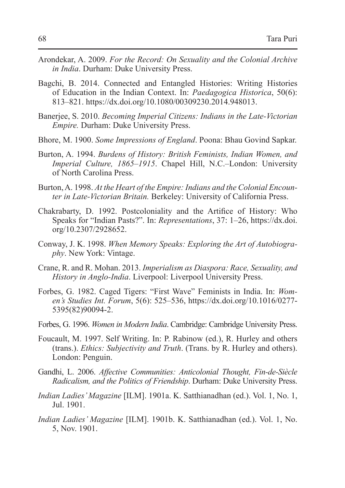- Arondekar, A. 2009. *For the Record: On Sexuality and the Colonial Archive in India*. Durham: Duke University Press.
- Bagchi, B. 2014. Connected and Entangled Histories: Writing Histories of Education in the Indian Context. In: *Paedagogica Historica*, 50(6): 813–821. https://dx.doi.org/10.1080/00309230.2014.948013.
- Banerjee, S. 2010. *Becoming Imperial Citizens: Indians in the Late-Victorian Empire.* Durham: Duke University Press.
- Bhore, M. 1900. *Some Impressions of England*. Poona: Bhau Govind Sapkar.
- Burton, A. 1994. *Burdens of History: British Feminists, Indian Women, and Imperial Culture, 1865–1915*. Chapel Hill, N.C.–London: University of North Carolina Press.
- Burton,A. 1998. *At the Heart of the Empire: Indians and the Colonial Encounter in Late-Victorian Britain.* Berkeley: University of California Press.
- Chakrabarty, D. 1992. Postcoloniality and the Artifice of History: Who Speaks for "Indian Pasts?". In: *Representations*, 37: 1–26, https://dx.doi. org/10.2307/2928652.
- Conway, J. K. 1998. *When Memory Speaks: Exploring the Art of Autobiography*. New York: Vintage.
- Crane, R. and R. Mohan. 2013. *Imperialism as Diaspora: Race, Sexuality, and History in Anglo-India*. Liverpool: Liverpool University Press.
- Forbes, G. 1982. Caged Tigers: "First Wave" Feminists in India. In: *Women's Studies Int. Forum*, 5(6): 525–536, https://dx.doi.org/10.1016/0277- 5395(82)90094-2.
- Forbes, G. 1996. *Women in Modern India*. Cambridge: Cambridge University Press.
- Foucault, M. 1997. Self Writing. In: P. Rabinow (ed.), R. Hurley and others (trans.). *Ethics: Subjectivity and Truth*. (Trans. by R. Hurley and others). London: Penguin.
- Gandhi, L. 2006. *Affective Communities: Anticolonial Thought, Fin-de-Siècle Radicalism, and the Politics of Friendship*. Durham: Duke University Press.
- *Indian Ladies' Magazine* [ILM]. 1901a. K. Satthianadhan (ed.). Vol. 1, No. 1, Jul. 1901.
- *Indian Ladies' Magazine* [ILM]. 1901b. K. Satthianadhan (ed.). Vol. 1, No. 5, Nov. 1901.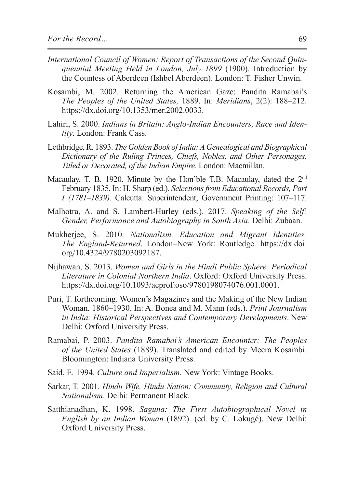- *International Council of Women: Report of Transactions of the Second Quinquennial Meeting Held in London, July 1899* (1900). Introduction by the Countess of Aberdeen (Ishbel Aberdeen). London: T. Fisher Unwin.
- Kosambi, M. 2002. Returning the American Gaze: Pandita Ramabai's *The Peoples of the United States,* 1889. In: *Meridians*, 2(2): 188–212. https://dx.doi.org/10.1353/mer.2002.0033.
- Lahiri, S. 2000. *Indians in Britain: Anglo-Indian Encounters, Race and Identity*. London: Frank Cass.
- Lethbridge, R. 1893. *The Golden Book of India: A Genealogical and Biographical Dictionary of the Ruling Princes, Chiefs, Nobles, and Other Personages, Titled or Decorated, of the Indian Empire*. London: Macmillan.
- Macaulay, T. B. 1920. Minute by the Hon'ble T.B. Macaulay, dated the  $2<sup>nd</sup>$ February 1835. In: H. Sharp (ed.). *Selections from Educational Records, Part I (1781–1839).* Calcutta: Superintendent, Government Printing: 107–117.
- Malhotra, A. and S. Lambert-Hurley (eds.). 2017. *Speaking of the Self: Gender, Performance and Autobiography in South Asia*. Delhi: Zubaan.
- Mukherjee, S. 2010. *Nationalism, Education and Migrant Identities: The England-Returned*. London–New York: Routledge. https://dx.doi. org/10.4324/9780203092187.
- Nijhawan, S. 2013. *Women and Girls in the Hindi Public Sphere: Periodical Literature in Colonial Northern India*. Oxford: Oxford University Press. https://dx.doi.org/10.1093/acprof:oso/9780198074076.001.0001.
- Puri, T. forthcoming. Women's Magazines and the Making of the New Indian Woman, 1860–1930. In: A. Bonea and M. Mann (eds.). *Print Journalism in India: Historical Perspectives and Contemporary Developments*. New Delhi: Oxford University Press.
- Ramabai, P. 2003. *Pandita Ramabai's American Encounter: The Peoples of the United States* (1889). Translated and edited by Meera Kosambi. Bloomington: Indiana University Press.
- Said, E. 1994. *Culture and Imperialism*. New York: Vintage Books.
- Sarkar, T. 2001. *Hindu Wife, Hindu Nation: Community, Religion and Cultural Nationalism*. Delhi: Permanent Black.
- Satthianadhan, K. 1998. *Saguna: The First Autobiographical Novel in English by an Indian Woman* (1892). (ed. by C. Lokugé). New Delhi: Oxford University Press.